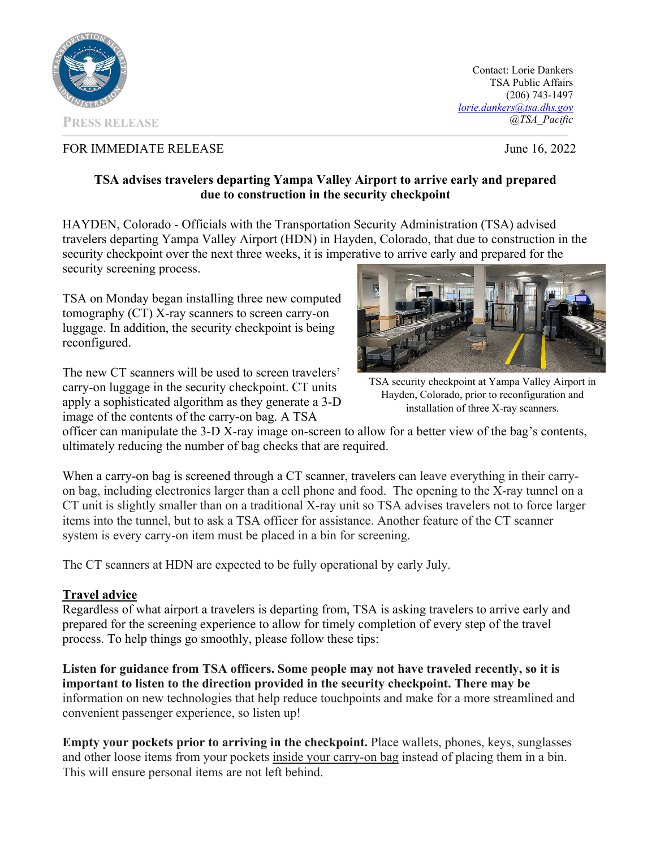

Contact: Lorie Dankers TSA Public Affairs (206) 743-1497 *lorie.dankers@tsa.dhs.gov @TSA\_Pacific* 

## FOR IMMEDIATE RELEASE June 16, 2022

## **TSA advises travelers departing Yampa Valley Airport to arrive early and prepared due to construction in the security checkpoint**

HAYDEN, Colorado - Officials with the Transportation Security Administration (TSA) advised travelers departing Yampa Valley Airport (HDN) in Hayden, Colorado, that due to construction in the security checkpoint over the next three weeks, it is imperative to arrive early and prepared for the security screening process.

TSA on Monday began installing three new computed tomography (CT) X-ray scanners to screen carry-on luggage. In addition, the security checkpoint is being reconfigured.

The new CT scanners will be used to screen travelers' carry-on luggage in the security checkpoint. CT units apply a sophisticated algorithm as they generate a 3-D image of the contents of the carry-on bag. A TSA



TSA security checkpoint at Yampa Valley Airport in Hayden, Colorado, prior to reconfiguration and installation of three X-ray scanners.

officer can manipulate the 3-D X-ray image on-screen to allow for a better view of the bag's contents, ultimately reducing the number of bag checks that are required.

When a carry-on bag is screened through a CT scanner, travelers can leave everything in their carryon bag, including electronics larger than a cell phone and food. The opening to the X-ray tunnel on a CT unit is slightly smaller than on a traditional X-ray unit so TSA advises travelers not to force larger items into the tunnel, but to ask a TSA officer for assistance. Another feature of the CT scanner system is every carry-on item must be placed in a bin for screening.

The CT scanners at HDN are expected to be fully operational by early July.

## **Travel advice**

Regardless of what airport a travelers is departing from, TSA is asking travelers to arrive early and prepared for the screening experience to allow for timely completion of every step of the travel process. To help things go smoothly, please follow these tips:

**Listen for guidance from TSA officers. Some people may not have traveled recently, so it is important to listen to the direction provided in the security checkpoint. There may be**  information on new technologies that help reduce touchpoints and make for a more streamlined and convenient passenger experience, so listen up!

**Empty your pockets prior to arriving in the checkpoint.** Place wallets, phones, keys, sunglasses and other loose items from your pockets inside your carry-on bag instead of placing them in a bin. This will ensure personal items are not left behind.